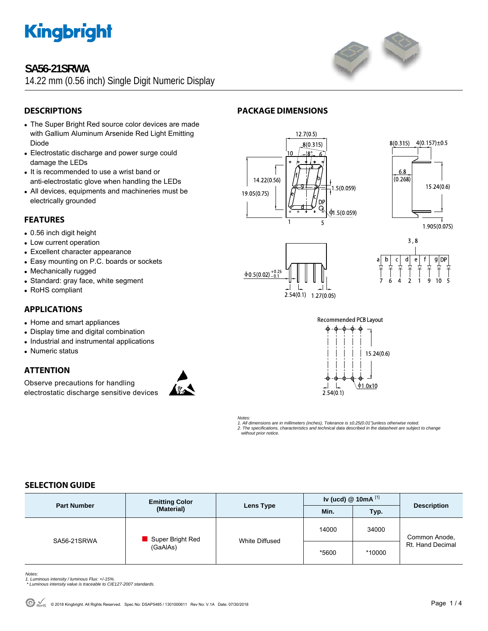

# **SA56-21SRWA**

14.22 mm (0.56 inch) Single Digit Numeric Display



# **DESCRIPTIONS**

- The Super Bright Red source color devices are made with Gallium Aluminum Arsenide Red Light Emitting Diode
- Electrostatic discharge and power surge could damage the LEDs
- It is recommended to use a wrist band or anti-electrostatic glove when handling the LEDs
- All devices, equipments and machineries must be electrically grounded

### **FEATURES**

- 0.56 inch digit height
- Low current operation
- Excellent character appearance
- Easy mounting on P.C. boards or sockets
- Mechanically rugged
- Standard: gray face, white segment
- RoHS compliant

### **APPLICATIONS**

- Home and smart appliances
- Display time and digital combination
- Industrial and instrumental applications
- Numeric status

### **ATTENTION**

Observe precautions for handling electrostatic discharge sensitive devices



# **PACKAGE DIMENSIONS**











*Notes:* 

*1. All dimensions are in millimeters (inches), Tolerance is ±0.25(0.01")unless otherwise noted.* 

*2. The specifications, characteristics and technical data described in the datasheet are subject to change without prior notice.* 

### **SELECTION GUIDE**

| <b>Part Number</b> | <b>Emitting Color</b><br>(Material) | Lens Type      | Iv (ucd) $@$ 10mA $^{[1]}$ |        |                                   |
|--------------------|-------------------------------------|----------------|----------------------------|--------|-----------------------------------|
|                    |                                     |                | Min.                       | Typ.   | <b>Description</b>                |
| SA56-21SRWA        | Super Bright Red<br>(GaAlAs)        | White Diffused | 14000                      | 34000  | Common Anode,<br>Rt. Hand Decimal |
|                    |                                     |                | *5600                      | *10000 |                                   |

*Notes:* 

- 
- *1. Luminous intensity / luminous Flux: +/-15%. \* Luminous intensity value is traceable to CIE127-2007 standards.*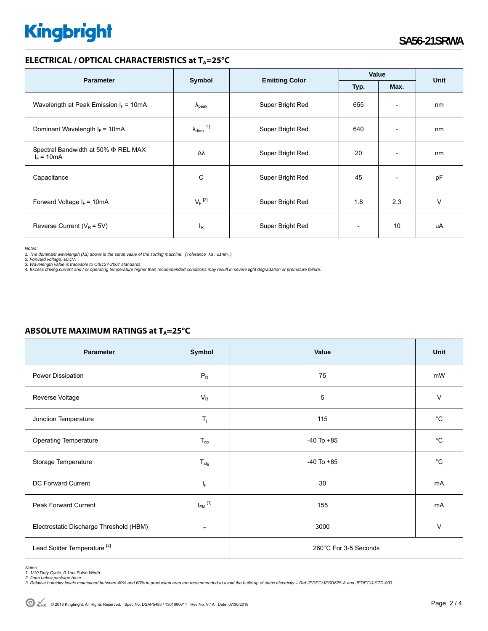# **Kingbright**

#### **ELECTRICAL / OPTICAL CHARACTERISTICS at T<sub>A</sub>=25°C**

| <b>Parameter</b>                                         |                                                 |                  | Value |                              | <b>Unit</b> |
|----------------------------------------------------------|-------------------------------------------------|------------------|-------|------------------------------|-------------|
|                                                          | <b>Emitting Color</b><br>Symbol<br>Typ.<br>Max. |                  |       |                              |             |
| Wavelength at Peak Emission $I_F$ = 10mA                 | $\lambda_{\rm peak}$                            | Super Bright Red | 655   | $\overline{\phantom{a}}$     | nm          |
| Dominant Wavelength $I_F = 10mA$                         | $\lambda_{\text{dom}}$ [1]                      | Super Bright Red | 640   | $\overline{\phantom{0}}$     | nm          |
| Spectral Bandwidth at 50% $\Phi$ REL MAX<br>$I_F = 10mA$ | Δλ                                              | Super Bright Red | 20    | $\qquad \qquad \blacksquare$ | nm          |
| Capacitance                                              | C                                               | Super Bright Red | 45    | $\overline{\phantom{a}}$     | pF          |
| Forward Voltage $I_F = 10mA$                             | $V_F$ <sup>[2]</sup>                            | Super Bright Red | 1.8   | 2.3                          | $\vee$      |
| Reverse Current ( $V_R$ = 5V)                            | l <sub>R</sub>                                  | Super Bright Red |       | 10                           | uA          |

*Notes:* 

1. The dominant wavelength (λd) above is the setup value of the sorting machine. (Tolerance λd : ±1nm. )<br>2. Forward voltage: ±0.1V.<br>3. Wavelength value is traceable to CIE127-2007 standards.<br>4. Excess driving current and

## **ABSOLUTE MAXIMUM RATINGS at T<sub>A</sub>=25°C**

| Parameter                               | Symbol                     | Value                 | <b>Unit</b>  |  |
|-----------------------------------------|----------------------------|-----------------------|--------------|--|
| Power Dissipation                       | $P_D$                      | 75                    | mW           |  |
| Reverse Voltage                         | $V_R$                      | $\overline{5}$        | $\vee$       |  |
| Junction Temperature                    | $T_{j}$                    | 115                   | $^{\circ}C$  |  |
| <b>Operating Temperature</b>            | $\mathsf{T}_{\mathsf{op}}$ | $-40$ To $+85$        | $^{\circ}C$  |  |
| Storage Temperature                     | $T_{\text{stg}}$           | $-40$ To $+85$        | $^{\circ}$ C |  |
| DC Forward Current                      | IF.                        | 30                    | mA           |  |
| Peak Forward Current                    | $I_{FM}$ <sup>[1]</sup>    | 155                   | mA           |  |
| Electrostatic Discharge Threshold (HBM) |                            | 3000                  | V            |  |
| Lead Solder Temperature <sup>[2]</sup>  |                            | 260°C For 3-5 Seconds |              |  |

Notes:<br>1. 1/10 Duty Cycle, 0.1ms Pulse Width.<br>2. 2mm below package base.<br>3. Relative humidity levels maintained between 40% and 60% in production area are recommended to avoid the build-up of static electricity – Ref JEDEC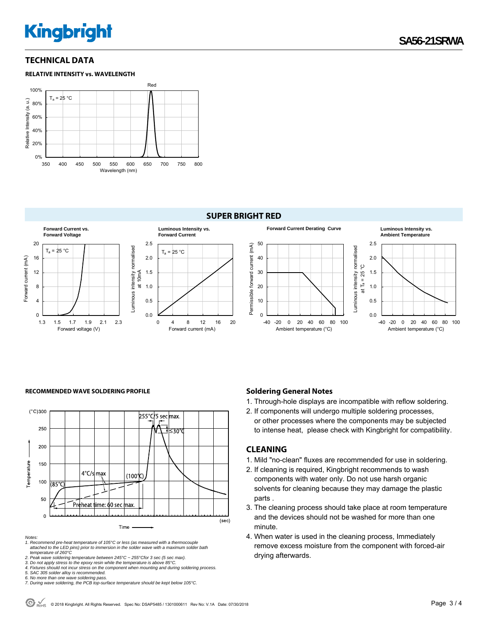# **Kingbright**

#### **TECHNICAL DATA**





#### **SUPER BRIGHT RED**



#### RECOMMENDED WAVE SOLDERING PROFILE **Soldering General Notes Soldering General Notes**



#### *Notes:*

*1. Recommend pre-heat temperature of 105°C or less (as measured with a thermocouple attached to the LED pins) prior to immersion in the solder wave with a maximum solder bath temperature of 260°C* 

*2. Peak wave soldering temperature between 245°C ~ 255°Cfor 3 sec (5 sec max).* 

*3. Do not apply stress to the epoxy resin while the temperature is above 85°C.* 

*4. Fixtures should not incur stress on the component when mounting and during soldering process.* 

*5. SAC 305 solder alloy is recommended.* 

1. Through-hole displays are incompatible with reflow soldering.

- 2. If components will undergo multiple soldering processes,
- or other processes where the components may be subjected to intense heat, please check with Kingbright for compatibility.

#### **CLEANING**

- 1. Mild "no-clean" fluxes are recommended for use in soldering.
- 2. If cleaning is required, Kingbright recommends to wash components with water only. Do not use harsh organic solvents for cleaning because they may damage the plastic parts .
- 3. The cleaning process should take place at room temperature and the devices should not be washed for more than one minute.
- 4. When water is used in the cleaning process, Immediately remove excess moisture from the component with forced-air drying afterwards.

*<sup>6.</sup> No more than one wave soldering pass. 7. During wave soldering, the PCB top-surface temperature should be kept below 105°C.*